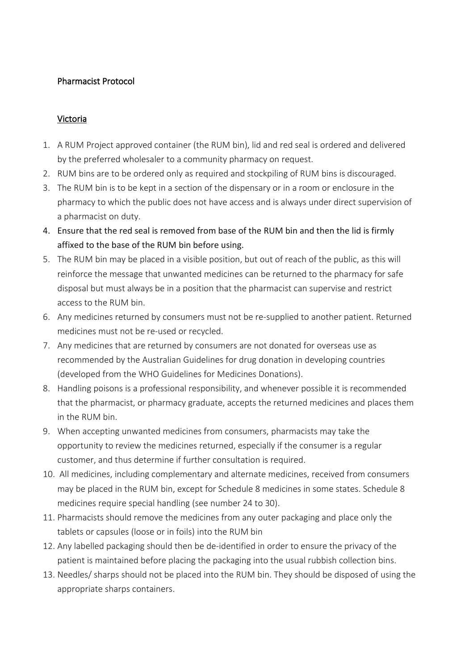## Pharmacist Protocol

## Victoria

- 1. A RUM Project approved container (the RUM bin), lid and red seal is ordered and delivered by the preferred wholesaler to a community pharmacy on request.
- 2. RUM bins are to be ordered only as required and stockpiling of RUM bins is discouraged.
- 3. The RUM bin is to be kept in a section of the dispensary or in a room or enclosure in the pharmacy to which the public does not have access and is always under direct supervision of a pharmacist on duty.
- 4. Ensure that the red seal is removed from base of the RUM bin and then the lid is firmly affixed to the base of the RUM bin before using.
- 5. The RUM bin may be placed in a visible position, but out of reach of the public, as this will reinforce the message that unwanted medicines can be returned to the pharmacy for safe disposal but must always be in a position that the pharmacist can supervise and restrict access to the RUM bin.
- 6. Any medicines returned by consumers must not be re-supplied to another patient. Returned medicines must not be re-used or recycled.
- 7. Any medicines that are returned by consumers are not donated for overseas use as recommended by the Australian Guidelines for drug donation in developing countries (developed from the WHO Guidelines for Medicines Donations).
- 8. Handling poisons is a professional responsibility, and whenever possible it is recommended that the pharmacist, or pharmacy graduate, accepts the returned medicines and places them in the RUM bin.
- 9. When accepting unwanted medicines from consumers, pharmacists may take the opportunity to review the medicines returned, especially if the consumer is a regular customer, and thus determine if further consultation is required.
- 10. All medicines, including complementary and alternate medicines, received from consumers may be placed in the RUM bin, except for Schedule 8 medicines in some states. Schedule 8 medicines require special handling (see number 24 to 30).
- 11. Pharmacists should remove the medicines from any outer packaging and place only the tablets or capsules (loose or in foils) into the RUM bin
- 12. Any labelled packaging should then be de-identified in order to ensure the privacy of the patient is maintained before placing the packaging into the usual rubbish collection bins.
- 13. Needles/ sharps should not be placed into the RUM bin. They should be disposed of using the appropriate sharps containers.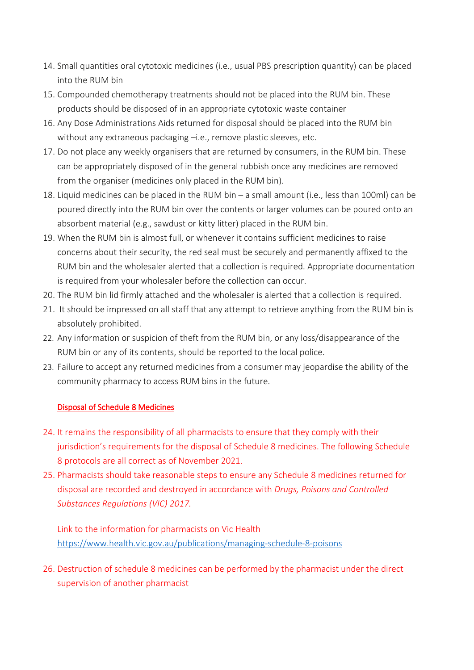- 14. Small quantities oral cytotoxic medicines (i.e., usual PBS prescription quantity) can be placed into the RUM bin
- 15. Compounded chemotherapy treatments should not be placed into the RUM bin. These products should be disposed of in an appropriate cytotoxic waste container
- 16. Any Dose Administrations Aids returned for disposal should be placed into the RUM bin without any extraneous packaging -i.e., remove plastic sleeves, etc.
- 17. Do not place any weekly organisers that are returned by consumers, in the RUM bin. These can be appropriately disposed of in the general rubbish once any medicines are removed from the organiser (medicines only placed in the RUM bin).
- 18. Liquid medicines can be placed in the RUM bin a small amount (i.e., less than 100ml) can be poured directly into the RUM bin over the contents or larger volumes can be poured onto an absorbent material (e.g., sawdust or kitty litter) placed in the RUM bin.
- 19. When the RUM bin is almost full, or whenever it contains sufficient medicines to raise concerns about their security, the red seal must be securely and permanently affixed to the RUM bin and the wholesaler alerted that a collection is required. Appropriate documentation is required from your wholesaler before the collection can occur.
- 20. The RUM bin lid firmly attached and the wholesaler is alerted that a collection is required.
- 21. It should be impressed on all staff that any attempt to retrieve anything from the RUM bin is absolutely prohibited.
- 22. Any information or suspicion of theft from the RUM bin, or any loss/disappearance of the RUM bin or any of its contents, should be reported to the local police.
- 23. Failure to accept any returned medicines from a consumer may jeopardise the ability of the community pharmacy to access RUM bins in the future.

## Disposal of Schedule 8 Medicines

- 24. It remains the responsibility of all pharmacists to ensure that they comply with their jurisdiction's requirements for the disposal of Schedule 8 medicines. The following Schedule 8 protocols are all correct as of November 2021.
- 25. Pharmacists should take reasonable steps to ensure any Schedule 8 medicines returned for disposal are recorded and destroyed in accordance with *Drugs, Poisons and Controlled Substances Regulations (VIC) 2017.*

Link to the information for pharmacists on Vic Health <https://www.health.vic.gov.au/publications/managing-schedule-8-poisons>

26. Destruction of schedule 8 medicines can be performed by the pharmacist under the direct supervision of another pharmacist